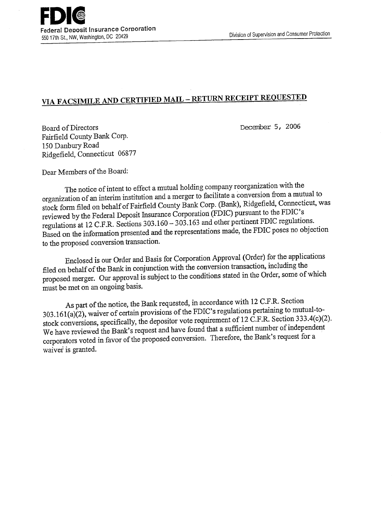## **VIA FACSIMILE AND CERTIFIED MAIL** - **RETURN RECEIPT REQUESTED**

December 5, 2006

Board of Directors Fairfield County Bank Corp. 150 Danbury Road Ridgefield, Connecticut 06877

Dear Members of the Board:

The notice of intent to effect a mutual holding company reorganization with the organization of an interim institution and a merger to facilitate a conversion from a mutual to stock form filed on behalf of Fairfield County Bank Corp. (Bank), Ridgefield, Connecticut, was reviewed by the Federal Deposit Insurance Corporation (FDIC) pursuant to the FDIC's regulations at 12 C.F.R. Sections 303.160 - *303.163* and other pertinent FDIC regulations. Based on the information presented and the representations made, the FDIC poses no objection to the proposed conversion transaction.

Enclosed is our Order and Basis for Corporation Approval (Order) for the applications filed on behalf of the Bank in conjunction with the conversion transaction, including the proposed merger. Our approval is subject to the conditions stated in the Order, some of which must be met on an ongoing basis.

As part of the notice, the Bank requested, in accordance with 12 C.F.R. Section 303.161(a)(2), waiver of certain provisions of the FDIC's regulations pertaining to mutual-tostock conversions, specifically, the depositor vote requirement of 12 C.F.R. Section 333.4(c)(2). We have reviewed the Bank's request and have found that a sufficient number of independent corporators voted in favor of the proposed conversion. Therefore, the Bank's request for a waiver is granted.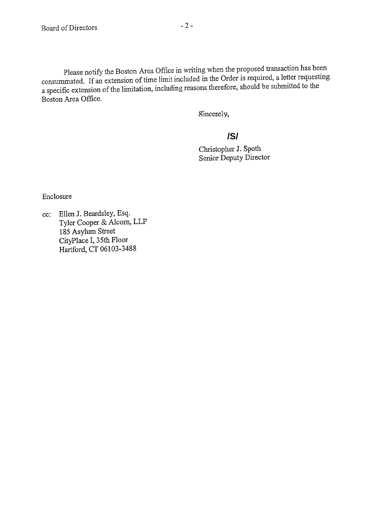Please notify the Boston Area Office in writing when the proposed transaction has been consummated. If an extension of time limit included in the Order is required, a letter requesting a specific extension of the limitation, including reasons therefore, should be submitted to the Boston Area Office.

Sincerely,

## **/S/**

Christopher J. Spoth Senior Deputy Director

Enclosure

cc: Ellen J. Beardsley, Esq. Tyler Cooper & Alcorn, LLP 185 Asylum Street CityPlace I, 35th Floor Hartford, CT 06103-3488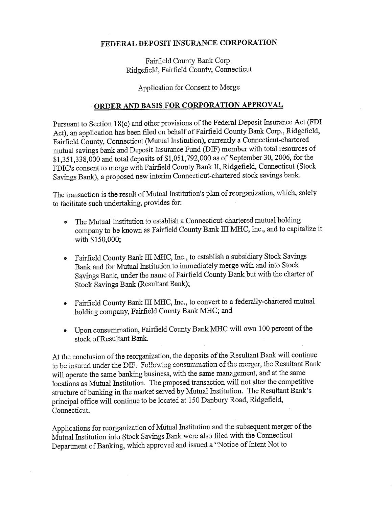## **FEDERAL DEPOSIT INSURANCE CORPORATION**

Fairfield County Bank Corp. Ridgefield, Fairfield County, Connecticut

Application for Consent to Merge

## **ORDER AND BASIS FOR CORPORATION APPROVAL**

Pursuant to Section 18(c) and other provisions of the Federal Deposit Insurance Act (FDI Act), an application has been filed on behalf of Fairfield County Bank Corp., Ridgefield, Fairfield County, Connecticut (Mutual Institution), currently a Connecticut-chartered mutual savings bank and Deposit Insurance Fund (D]F) member with total resources of \$1,351,338,000 and total deposits of \$1,051,792,000 as of September 30, 2006, for the FDIC's consent to merge with Fairfield County Bank II, Ridgefield, Connecticut (Stock Savings Bank), a proposed new interim Connecticut-chartered stock savings bank.

The transaction is the result of Mutual Institution's plan of reorganization, which, solely to facilitate such undertaking, provides for:

- The Mutual Institution to establish a Connecticut-chartered mutual holding  $\bullet$ company to be known as Fairfield County Bank III MHC, Inc., and to capitalize it with \$150,000;
- Fairfield County Bank III MHC, Inc., to establish a subsidiary Stock Savings Bank and for Mutual Institution to immediately merge with and into Stock Savings Bank, under the name of Fairfield County Bank but with the charter of Stock Savings Bank (Resultant Bank);
- Fairfield County Bank III MHC, Inc., to convert to a federally-chartered mutual holding company, Fairfield County Bank MHC; and
- Upon consummation, Fairfield County Bank MHC will own 100 percent of the stock of Resultant Bank.

At the conclusion of the reorganization, the deposits of the Resultant Bank will continue to be insured under the DIF. Following consummation of the merger, the Resultant Bank will operate the same banking business, with the same management, and at the same locations as Mutual Institution. The proposed transaction will not alter the competitive structure of banking in the market served by Mutual Institution. The Resultant Bank's principal office will continue to be located at 150 Danbury Road, Ridgefield, Connecticut.

Applications for reorganization of Mutual Institution and the subsequent merger of the Mutual Institution into Stock Savings Bank were also filed with the Connecticut Department of Banking, which approved and issued a "Notice of Intent Not to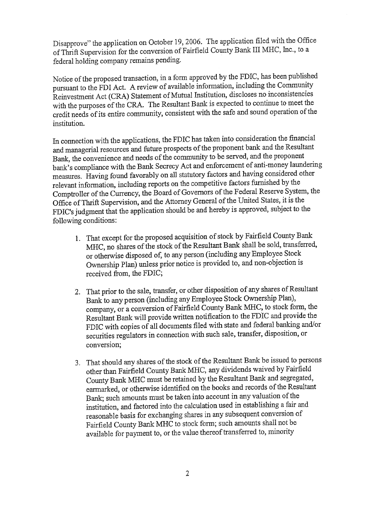Disapprove" the application on October 19, 2006. The application filed with the Office of Thrift Supervision for the conversion of Fairfield County Bank III MHC, Inc., to a federal holding company remains pending.

Notice of the proposed transaction, in a form approved by the FDIC, has been published pursuant to the FDI Act. A review of available information, including the Community Reinvestment Act (CRA) Statement of Mutual Institution, discloses no inconsistencies with the purposes of the CRA. The Resultant Bank is expected to continue to meet the credit needs of its entire community, consistent with the safe and sound operation of the institution.

In connection with the applications, the FDIC has taken into consideration the financial and managerial resources and future prospects of the proponent bank and the Resultant Bank, the convenience and needs of the community to be served, and the proponent bank's compliance with the Bank Secrecy Act and enforcement of anti-money laundering measures. Having found favorably on all statutory factors and having considered other relevant information, including reports on the competitive factors furnished by the Comptroller of the Currency, the Board of Governors of the Federal Reserve System, the Office of Thrift Supervision, and the Attorney General of the United States, it is the FDIC's judgment that the application should be and hereby is approved, subject to the following conditions:

- 1. That except for the proposed acquisition of stock by Fairfield County Bank MHC, no shares of the stock of the Resultant Bank shall be sold, transferred, or otherwise disposed of, to any person (including any Employee Stock Ownership Plan) unless prior notice is provided to, and non-objection is received from, the FDIC;
- 2. That prior to the sale, transfer, or other disposition of any shares of Resultant Bank to any person (including any Employee Stock Ownership Plan), company, or a conversion of Fairfield County Bank MHC, to stock form, the Resultant Bank will provide written notification to the FDIC and provide the FDIC with copies of all documents filed with state and federal banking and/or securities regulators in connection with such sale, transfer, disposition, or conversion;
- That should any shares of the stock of the Resultant Bank be issued to persons other than Fairfield County Bank MIHC, any dividends waived by Fairfield County Bank MHC must be retained by the Resultant Bank and segregated, earmarked, or otherwise identified on the books and records of the Resultant Bank; such amounts must be taken into account in any valuation of the institution, and factored into the calculation used in establishing a fair and reasonable basis for exchanging shares in any subsequent conversion of Fairfield County Bank MIHC to stock form; such amounts shall not be available for payment to, or the value thereof transferred to, minority